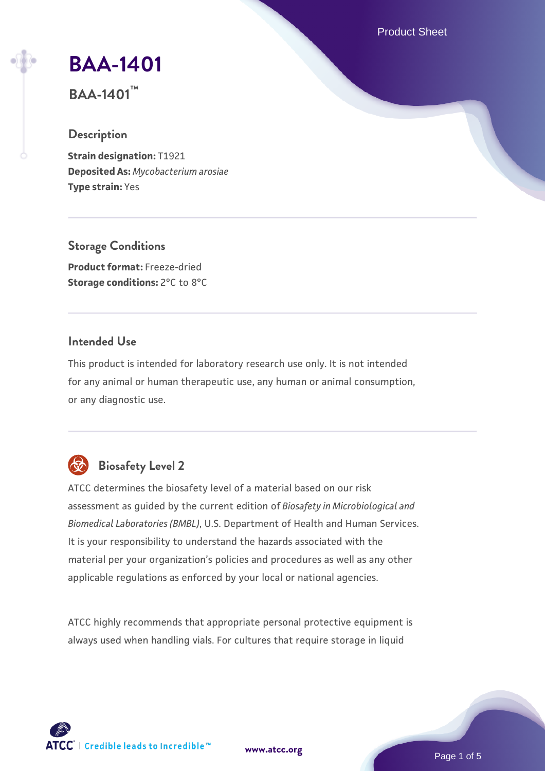Product Sheet

# **[BAA-1401](https://www.atcc.org/products/baa-1401)**

**BAA-1401™**

#### **Description**

**Strain designation:** T1921 **Deposited As:** *Mycobacterium arosiae* **Type strain:** Yes

**Storage Conditions Product format:** Freeze-dried

**Storage conditions:** 2°C to 8°C

#### **Intended Use**

This product is intended for laboratory research use only. It is not intended for any animal or human therapeutic use, any human or animal consumption, or any diagnostic use.

# **Biosafety Level 2**

ATCC determines the biosafety level of a material based on our risk assessment as guided by the current edition of *Biosafety in Microbiological and Biomedical Laboratories (BMBL)*, U.S. Department of Health and Human Services. It is your responsibility to understand the hazards associated with the material per your organization's policies and procedures as well as any other applicable regulations as enforced by your local or national agencies.

ATCC highly recommends that appropriate personal protective equipment is always used when handling vials. For cultures that require storage in liquid

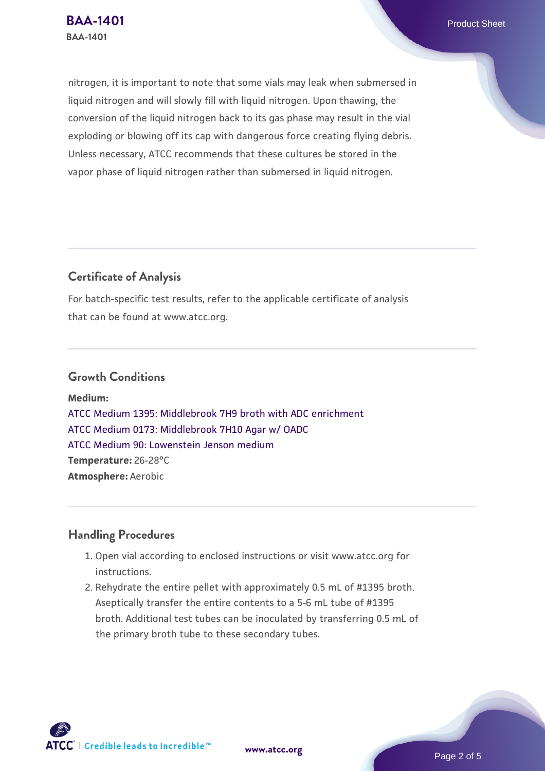nitrogen, it is important to note that some vials may leak when submersed in liquid nitrogen and will slowly fill with liquid nitrogen. Upon thawing, the conversion of the liquid nitrogen back to its gas phase may result in the vial exploding or blowing off its cap with dangerous force creating flying debris. Unless necessary, ATCC recommends that these cultures be stored in the vapor phase of liquid nitrogen rather than submersed in liquid nitrogen.

### **Certificate of Analysis**

For batch-specific test results, refer to the applicable certificate of analysis that can be found at www.atcc.org.

#### **Growth Conditions**

**Medium:**  [ATCC Medium 1395: Middlebrook 7H9 broth with ADC enrichment](https://www.atcc.org/-/media/product-assets/documents/microbial-media-formulations/1/3/9/5/atcc-medium-1395.pdf?rev=83f84c8c9e994a71a2edb0458ff02218) [ATCC Medium 0173: Middlebrook 7H10 Agar w/ OADC](https://www.atcc.org/-/media/product-assets/documents/microbial-media-formulations/0/1/7/3/atcc-medium-0173.pdf?rev=2fcd87d0ebaf471d8aa6aba3758ef39f) [ATCC Medium 90: Lowenstein Jenson medium](https://www.atcc.org/-/media/product-assets/documents/microbial-media-formulations/9/0/atcc-medium-90.pdf?rev=2af45eec61614a8e9024c1519219fe34) **Temperature:** 26-28°C **Atmosphere:** Aerobic

#### **Handling Procedures**

- 1. Open vial according to enclosed instructions or visit www.atcc.org for instructions.
- 2. Rehydrate the entire pellet with approximately 0.5 mL of #1395 broth. Aseptically transfer the entire contents to a 5-6 mL tube of #1395 broth. Additional test tubes can be inoculated by transferring 0.5 mL of the primary broth tube to these secondary tubes.

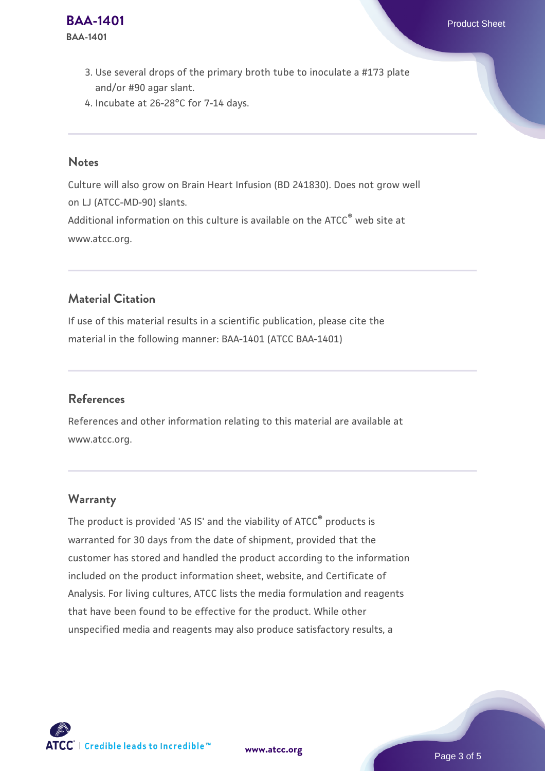- 3. Use several drops of the primary broth tube to inoculate a #173 plate  $\,$ and/or #90 agar slant.
- 4. Incubate at 26-28°C for 7-14 days.

#### **Notes**

Culture will also grow on Brain Heart Infusion (BD 241830). Does not grow well on LJ (ATCC-MD-90) slants. Additional information on this culture is available on the ATCC<sup>®</sup> web site at www.atcc.org.

#### **Material Citation**

If use of this material results in a scientific publication, please cite the material in the following manner: BAA-1401 (ATCC BAA-1401)

#### **References**

References and other information relating to this material are available at www.atcc.org.

#### **Warranty**

The product is provided 'AS IS' and the viability of ATCC® products is warranted for 30 days from the date of shipment, provided that the customer has stored and handled the product according to the information included on the product information sheet, website, and Certificate of Analysis. For living cultures, ATCC lists the media formulation and reagents that have been found to be effective for the product. While other unspecified media and reagents may also produce satisfactory results, a

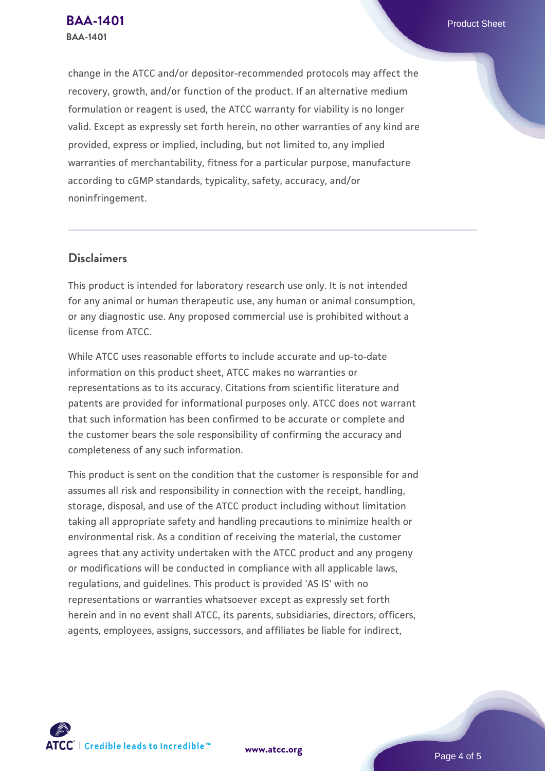change in the ATCC and/or depositor-recommended protocols may affect the recovery, growth, and/or function of the product. If an alternative medium formulation or reagent is used, the ATCC warranty for viability is no longer valid. Except as expressly set forth herein, no other warranties of any kind are provided, express or implied, including, but not limited to, any implied warranties of merchantability, fitness for a particular purpose, manufacture according to cGMP standards, typicality, safety, accuracy, and/or noninfringement.

#### **Disclaimers**

This product is intended for laboratory research use only. It is not intended for any animal or human therapeutic use, any human or animal consumption, or any diagnostic use. Any proposed commercial use is prohibited without a license from ATCC.

While ATCC uses reasonable efforts to include accurate and up-to-date information on this product sheet, ATCC makes no warranties or representations as to its accuracy. Citations from scientific literature and patents are provided for informational purposes only. ATCC does not warrant that such information has been confirmed to be accurate or complete and the customer bears the sole responsibility of confirming the accuracy and completeness of any such information.

This product is sent on the condition that the customer is responsible for and assumes all risk and responsibility in connection with the receipt, handling, storage, disposal, and use of the ATCC product including without limitation taking all appropriate safety and handling precautions to minimize health or environmental risk. As a condition of receiving the material, the customer agrees that any activity undertaken with the ATCC product and any progeny or modifications will be conducted in compliance with all applicable laws, regulations, and guidelines. This product is provided 'AS IS' with no representations or warranties whatsoever except as expressly set forth herein and in no event shall ATCC, its parents, subsidiaries, directors, officers, agents, employees, assigns, successors, and affiliates be liable for indirect,